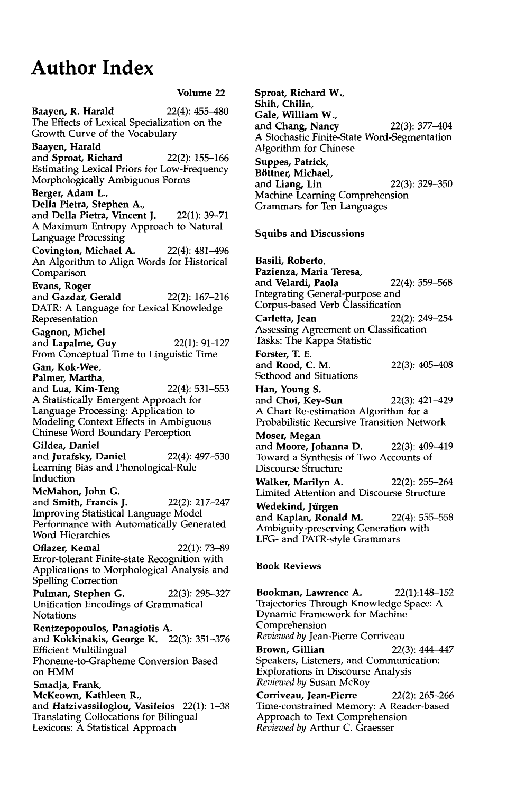## **Author Index**

**Volume 22 Baayen, R. Harald 22(4):** 455-480 The Effects of Lexical Specialization on the Growth Curve of the Vocabulary **Baayen, Harald**  and **Sproat, Richard** 22(2): 155-166 Estimating Lexical Priors for Low-Frequency Morphologically Ambiguous Forms **Berger, Adam L., Della Pietra, Stephen A.,**  and **Della Pietra, Vincent J. 22(1):** 39-71 A Maximum Entropy Approach to Natural Language Processing **Covington, Michael** A. 22(4): 481-496 An Algorithm to Align Words for Historical Comparison **Evans, Roger**  and **Gazdar, Gerald** 22(2): 167-216 DATR: A Language for Lexical Knowledge Representation **Gagnon, Michel**  and **Lapalme, Guy** 22(1): 91-127 From Conceptual Time to Linguistic Time **Gan, Kok-Wee, Palmer, Martha,**  and **Lua, Kim-Teng** 22(4): 531-553 A Statistically Emergent Approach for Language Processing: Application to Modeling Context Effects in Ambiguous Chinese Word Boundary Perception **Gildea, Daniel**  and **Jurafsky, Daniel** 22(4): 497-530 Learning Bias and Phonological-Rule Induction **McMahon, John** G. and **Smith, Francis** J. 22(2): 217-247 Improving Statistical Language Model Performance with Automatically Generated Word Hierarchies **Oflazer, Kemal** 22(1): 73-89 Error-tolerant Finite-state Recognition with Applications to Morphological Analysis and Spelling Correction **Pulman, Stephen G. 22(3):** 295-327 Unification Encodings of Grammatical Notations **Rentzepopoulos, Panagiotis A.**  and Kokkinakis, George K. 22(3): 351-376 Efficient Multilingual Phoneme-to-Grapheme Conversion Based on HMM **Smadja,** Frank, **McKeown, Kathleen** R., and **Hatzivassiloglou, Vasileios** 22(1): 1-38 Translating Collocations for Bilingual Lexicons: A Statistical Approach

**Sproat, Richard W., Shih, Chilin, Gale, William W.,**  and **Chang, Nancy** 22(3): 377-404 A Stochastic Finite-State Word-Segmentation Algorithm for Chinese **Suppes, Patrick, B6ttner, Michael,**  and **Liang, Lin** 22(3): 329-350 Machine Learning Comprehension Grammars for Ten Languages **Squibs and Discussions Basili, Roberto, Pazienza, Maria Teresa,**  and **Velardi, Paola** 22(4): 559-568 Integrating General-purpose and Corpus-based Verb Classification **Carletta, Jean 22(2):** 249-254 Assessing Agreement on Classification Tasks: The Kappa Statistic **Forster, T. E.**  and Rood, C. M. 22(3): 405-408 Sethood and Situations **Han, Young S.**  and **Choi, Key-Sun** 22(3): 421-429 A Chart Re-estimation Algorithm for a Probabilistic Recursive Transition Network **Moser, Megan**  and **Moore, Johanna D. 22(3):** 409-419 Toward a Synthesis of Two Accounts of Discourse Structure **Walker,** Marilyn A. 22(2): 255-264 Limited Attention and Discourse Structure Wedekind, Jürgen and **Kaplan, Ronald M. 22(4):** 555-558 Ambiguity-preserving Generation with LFG- and PATR-style Grammars **Book Reviews** 

**Bookman, Lawrence A.** 22(1):148-152 Trajectories Through Knowledge Space: A

Dynamic Framework for Machine Comprehension *Reviewed by* Jean-Pierre Corriveau **Brown, Gillian** 22(3): 444-447 Speakers, Listeners, and Communication: Explorations in Discourse Analysis *Reviewed by* Susan McRoy

Corriveau, Jean-Pierre 22(2): 265-266 Time-constrained Memory: A Reader-based Approach to Text Comprehension *Reviewed by* Arthur C. Graesser